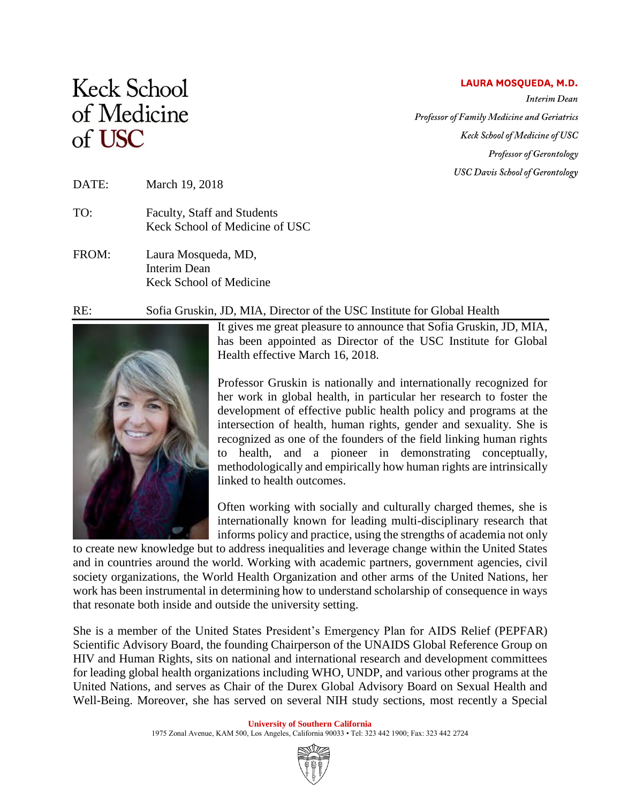## LAURA MOSQUEDA, M.D.

**Interim** Dean Professor of Family Medicine and Geriatrics Keck School of Medicine of USC Professor of Gerontology **USC Davis School of Gerontology** 

## **Keck School** of Medicine of USC

## DATE: March 19, 2018

- TO: Faculty, Staff and Students Keck School of Medicine of USC
- FROM: Laura Mosqueda, MD, Interim Dean Keck School of Medicine

## RE: Sofia Gruskin, JD, MIA, Director of the USC Institute for Global Health



It gives me great pleasure to announce that Sofia Gruskin, JD, MIA, has been appointed as Director of the USC Institute for Global Health effective March 16, 2018.

Professor Gruskin is nationally and internationally recognized for her work in global health, in particular her research to foster the development of effective public health policy and programs at the intersection of health, human rights, gender and sexuality. She is recognized as one of the founders of the field linking human rights to health, and a pioneer in demonstrating conceptually, methodologically and empirically how human rights are intrinsically linked to health outcomes.

Often working with socially and culturally charged themes, she is internationally known for leading multi-disciplinary research that informs policy and practice, using the strengths of academia not only

to create new knowledge but to address inequalities and leverage change within the United States and in countries around the world. Working with academic partners, government agencies, civil society organizations, the World Health Organization and other arms of the United Nations, her work has been instrumental in determining how to understand scholarship of consequence in ways that resonate both inside and outside the university setting.

She is a member of the United States President's Emergency Plan for AIDS Relief (PEPFAR) Scientific Advisory Board, the founding Chairperson of the UNAIDS Global Reference Group on HIV and Human Rights, sits on national and international research and development committees for leading global health organizations including WHO, UNDP, and various other programs at the United Nations, and serves as Chair of the Durex Global Advisory Board on Sexual Health and Well-Being. Moreover, she has served on several NIH study sections, most recently a Special

> **University of Southern California** 1975 Zonal Avenue, KAM 500, Los Angeles, California 90033 • Tel: 323 442 1900; Fax: 323 442 2724